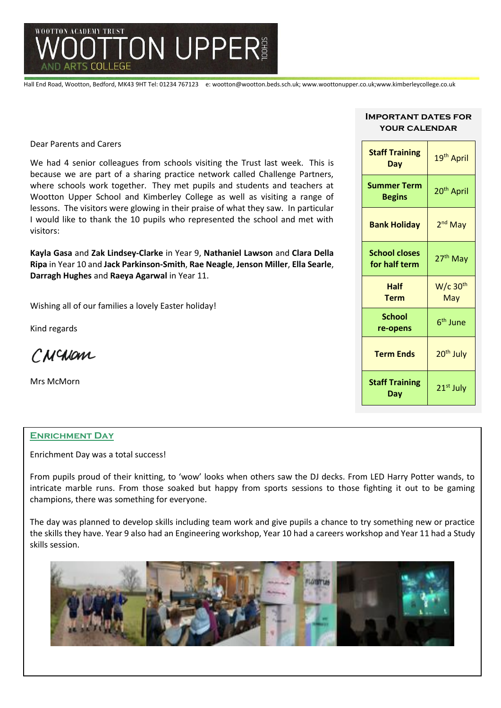

Hall End Road, Wootton, Bedford, MK43 9HT Tel: 01234 767123 e: wootton@wootton.beds.sch.uk; www.woottonupper.co.uk;www.kimberleycollege.co.uk

Dear Parents and Carers

We had 4 senior colleagues from schools visiting the Trust last week. This is because we are part of a sharing practice network called Challenge Partners, where schools work together. They met pupils and students and teachers at Wootton Upper School and Kimberley College as well as visiting a range of lessons. The visitors were glowing in their praise of what they saw. In particular I would like to thank the 10 pupils who represented the school and met with visitors:

**Kayla Gasa** and **Zak Lindsey-Clarke** in Year 9, **Nathaniel Lawson** and **Clara Della Ripa** in Year 10 and **Jack Parkinson-Smith**, **Rae Neagle**, **Jenson Miller**, **Ella Searle**, **Darragh Hughes** and **Raeya Agarwal** in Year 11.

Wishing all of our families a lovely Easter holiday!

Kind regards

CNCNOM

Mrs McMorn

#### **Enrichment Day**

Enrichment Day was a total success!

From pupils proud of their knitting, to 'wow' looks when others saw the DJ decks. From LED Harry Potter wands, to intricate marble runs. From those soaked but happy from sports sessions to those fighting it out to be gaming champions, there was something for everyone.

The day was planned to develop skills including team work and give pupils a chance to try something new or practice the skills they have. Year 9 also had an Engineering workshop, Year 10 had a careers workshop and Year 11 had a Study skills session.



#### **Important dates for your calendar**

| <b>Staff Training</b><br>Day          | 19 <sup>th</sup> April        |
|---------------------------------------|-------------------------------|
| <b>Summer Term</b><br><b>Begins</b>   | 20 <sup>th</sup> April        |
| <b>Bank Holiday</b>                   | 2 <sup>nd</sup> May           |
| <b>School closes</b><br>for half term | 27 <sup>th</sup> May          |
| Half<br><b>Term</b>                   | $W/c$ 30 <sup>th</sup><br>May |
| <b>School</b><br>re-opens             | 6 <sup>th</sup> June          |
| <b>Term Ends</b>                      | 20 <sup>th</sup> July         |
| <b>Staff Training</b><br>Dav          | 21 <sup>st</sup> July         |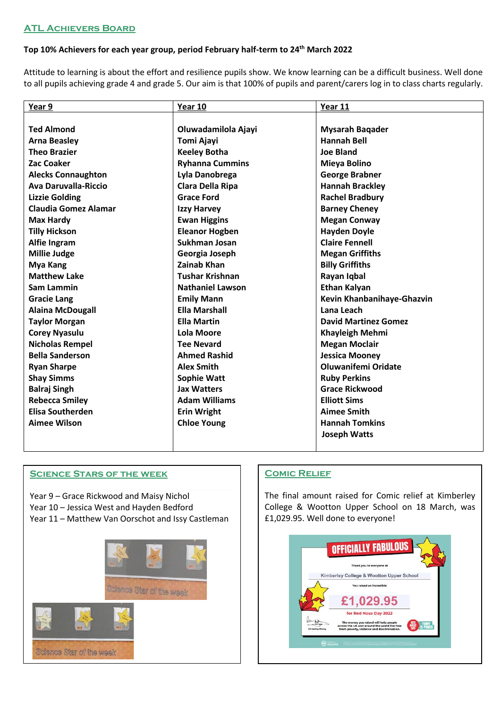# **Top 10% Achievers for each year group, period February half-term to 24th March 2022**

Attitude to learning is about the effort and resilience pupils show. We know learning can be a difficult business. Well done to all pupils achieving grade 4 and grade 5. Our aim is that 100% of pupils and parent/carers log in to class charts regularly.

| Year 9                      | Year 10                 | Year 11                     |
|-----------------------------|-------------------------|-----------------------------|
|                             |                         |                             |
| <b>Ted Almond</b>           | Oluwadamilola Ajayi     | <b>Mysarah Bagader</b>      |
| <b>Arna Beasley</b>         | Tomi Ajayi              | <b>Hannah Bell</b>          |
| <b>Theo Brazier</b>         | <b>Keeley Botha</b>     | <b>Joe Bland</b>            |
| Zac Coaker                  | <b>Ryhanna Cummins</b>  | Mieya Bolino                |
| <b>Alecks Connaughton</b>   | Lyla Danobrega          | <b>George Brabner</b>       |
| <b>Ava Daruvalla-Riccio</b> | Clara Della Ripa        | <b>Hannah Brackley</b>      |
| <b>Lizzie Golding</b>       | <b>Grace Ford</b>       | <b>Rachel Bradbury</b>      |
| <b>Claudia Gomez Alamar</b> | <b>Izzy Harvey</b>      | <b>Barney Cheney</b>        |
| <b>Max Hardy</b>            | <b>Ewan Higgins</b>     | <b>Megan Conway</b>         |
| <b>Tilly Hickson</b>        | <b>Eleanor Hogben</b>   | <b>Hayden Doyle</b>         |
| Alfie Ingram                | Sukhman Josan           | <b>Claire Fennell</b>       |
| <b>Millie Judge</b>         | Georgia Joseph          | <b>Megan Griffiths</b>      |
| Mya Kang                    | <b>Zainab Khan</b>      | <b>Billy Griffiths</b>      |
| <b>Matthew Lake</b>         | <b>Tushar Krishnan</b>  | Rayan Iqbal                 |
| Sam Lammin                  | <b>Nathaniel Lawson</b> | <b>Ethan Kalyan</b>         |
| <b>Gracie Lang</b>          | <b>Emily Mann</b>       | Kevin Khanbanihaye-Ghazvin  |
| <b>Alaina McDougall</b>     | <b>Ella Marshall</b>    | Lana Leach                  |
| <b>Taylor Morgan</b>        | <b>Ella Martin</b>      | <b>David Martinez Gomez</b> |
| <b>Corey Nyasulu</b>        | Lola Moore              | <b>Khayleigh Mehmi</b>      |
| <b>Nicholas Rempel</b>      | <b>Tee Nevard</b>       | <b>Megan Moclair</b>        |
| <b>Bella Sanderson</b>      | <b>Ahmed Rashid</b>     | <b>Jessica Mooney</b>       |
| <b>Ryan Sharpe</b>          | <b>Alex Smith</b>       | Oluwanifemi Oridate         |
| <b>Shay Simms</b>           | <b>Sophie Watt</b>      | <b>Ruby Perkins</b>         |
| <b>Balraj Singh</b>         | <b>Jax Watters</b>      | <b>Grace Rickwood</b>       |
| <b>Rebecca Smiley</b>       | <b>Adam Williams</b>    | <b>Elliott Sims</b>         |
| <b>Elisa Southerden</b>     | <b>Erin Wright</b>      | <b>Aimee Smith</b>          |
| <b>Aimee Wilson</b>         | <b>Chloe Young</b>      | <b>Hannah Tomkins</b>       |
|                             |                         | <b>Joseph Watts</b>         |
|                             |                         |                             |

#### **Science Stars of the week**

Year 9 – Grace Rickwood and Maisy Nichol Year 10 – Jessica West and Hayden Bedford Year 11 – Matthew Van Oorschot and Issy Castleman



# **Comic Relief**

The final amount raised for Comic relief at Kimberley College & Wootton Upper School on 18 March, was £1,029.95. Well done to everyone!

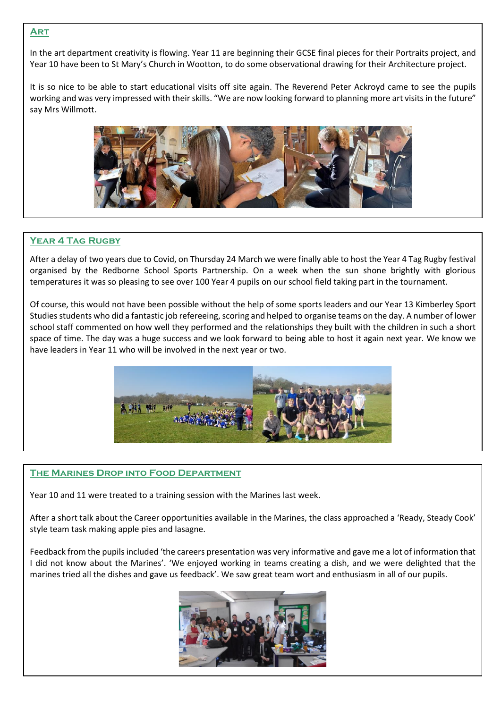### **Art**

In the art department creativity is flowing. Year 11 are beginning their GCSE final pieces for their Portraits project, and Year 10 have been to St Mary's Church in Wootton, to do some observational drawing for their Architecture project.

It is so nice to be able to start educational visits off site again. The Reverend Peter Ackroyd came to see the pupils working and was very impressed with their skills. "We are now looking forward to planning more art visits in the future" say Mrs Willmott.



#### **Year 4 Tag Rugby**

After a delay of two years due to Covid, on Thursday 24 March we were finally able to host the Year 4 Tag Rugby festival organised by the Redborne School Sports Partnership. On a week when the sun shone brightly with glorious temperatures it was so pleasing to see over 100 Year 4 pupils on our school field taking part in the tournament.

Of course, this would not have been possible without the help of some sports leaders and our Year 13 Kimberley Sport Studies students who did a fantastic job refereeing, scoring and helped to organise teams on the day. A number of lower school staff commented on how well they performed and the relationships they built with the children in such a short space of time. The day was a huge success and we look forward to being able to host it again next year. We know we have leaders in Year 11 who will be involved in the next year or two.



#### **The Marines Drop into Food Department**

Year 10 and 11 were treated to a training session with the Marines last week.

After a short talk about the Career opportunities available in the Marines, the class approached a 'Ready, Steady Cook' style team task making apple pies and lasagne.

Feedback from the pupils included 'the careers presentation was very informative and gave me a lot of information that I did not know about the Marines'. 'We enjoyed working in teams creating a dish, and we were delighted that the marines tried all the dishes and gave us feedback'. We saw great team wort and enthusiasm in all of our pupils.